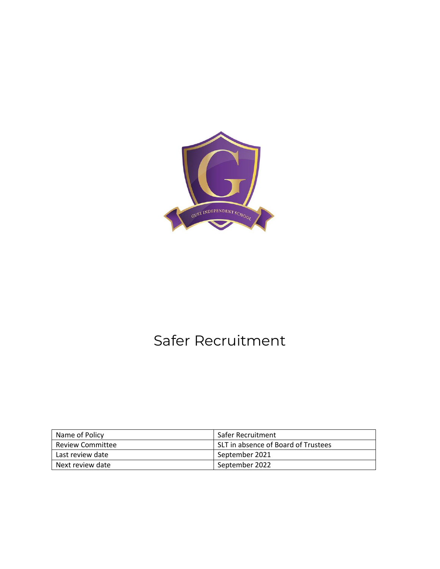

# Safer Recruitment

| Name of Policy   | Safer Recruitment                   |
|------------------|-------------------------------------|
| Review Committee | SLT in absence of Board of Trustees |
| Last review date | September 2021                      |
| Next review date | September 2022                      |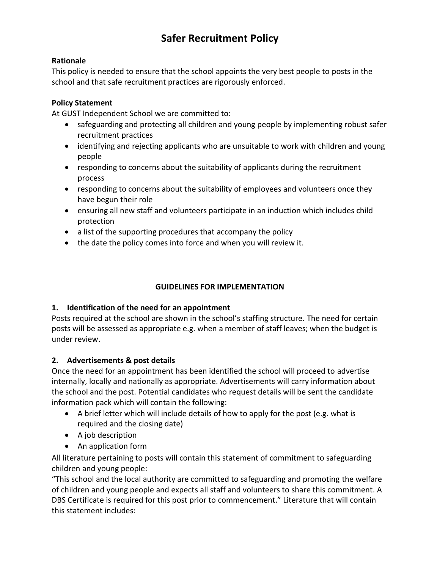## **Safer Recruitment Policy**

#### **Rationale**

This policy is needed to ensure that the school appoints the very best people to posts in the school and that safe recruitment practices are rigorously enforced.

### **Policy Statement**

At GUST Independent School we are committed to:

- safeguarding and protecting all children and young people by implementing robust safer recruitment practices
- identifying and rejecting applicants who are unsuitable to work with children and young people
- responding to concerns about the suitability of applicants during the recruitment process
- responding to concerns about the suitability of employees and volunteers once they have begun their role
- ensuring all new staff and volunteers participate in an induction which includes child protection
- a list of the supporting procedures that accompany the policy
- the date the policy comes into force and when you will review it.

### **GUIDELINES FOR IMPLEMENTATION**

### **1. Identification of the need for an appointment**

Posts required at the school are shown in the school's staffing structure. The need for certain posts will be assessed as appropriate e.g. when a member of staff leaves; when the budget is under review.

### **2. Advertisements & post details**

Once the need for an appointment has been identified the school will proceed to advertise internally, locally and nationally as appropriate. Advertisements will carry information about the school and the post. Potential candidates who request details will be sent the candidate information pack which will contain the following:

- A brief letter which will include details of how to apply for the post (e.g. what is required and the closing date)
- A job description
- An application form

All literature pertaining to posts will contain this statement of commitment to safeguarding children and young people:

"This school and the local authority are committed to safeguarding and promoting the welfare of children and young people and expects all staff and volunteers to share this commitment. A DBS Certificate is required for this post prior to commencement." Literature that will contain this statement includes: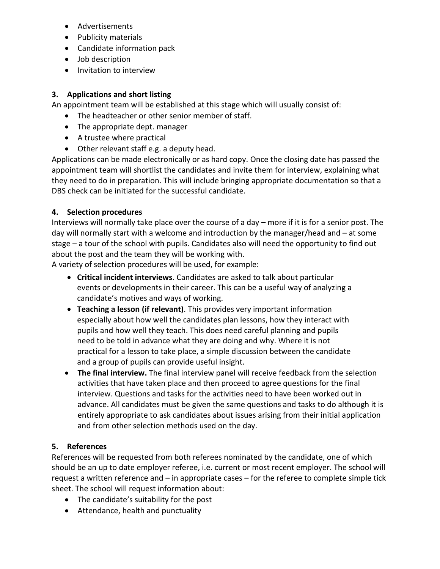- Advertisements
- Publicity materials
- Candidate information pack
- Job description
- Invitation to interview

#### **3. Applications and short listing**

An appointment team will be established at this stage which will usually consist of:

- The headteacher or other senior member of staff.
- The appropriate dept. manager
- A trustee where practical
- Other relevant staff e.g. a deputy head.

Applications can be made electronically or as hard copy. Once the closing date has passed the appointment team will shortlist the candidates and invite them for interview, explaining what they need to do in preparation. This will include bringing appropriate documentation so that a DBS check can be initiated for the successful candidate.

#### **4. Selection procedures**

Interviews will normally take place over the course of a day – more if it is for a senior post. The day will normally start with a welcome and introduction by the manager/head and – at some stage – a tour of the school with pupils. Candidates also will need the opportunity to find out about the post and the team they will be working with.

A variety of selection procedures will be used, for example:

- **Critical incident interviews**. Candidates are asked to talk about particular events or developments in their career. This can be a useful way of analyzing a candidate's motives and ways of working.
- **Teaching a lesson (if relevant)**. This provides very important information especially about how well the candidates plan lessons, how they interact with pupils and how well they teach. This does need careful planning and pupils need to be told in advance what they are doing and why. Where it is not practical for a lesson to take place, a simple discussion between the candidate and a group of pupils can provide useful insight.
- **The final interview.** The final interview panel will receive feedback from the selection activities that have taken place and then proceed to agree questions for the final interview. Questions and tasks for the activities need to have been worked out in advance. All candidates must be given the same questions and tasks to do although it is entirely appropriate to ask candidates about issues arising from their initial application and from other selection methods used on the day.

### **5. References**

References will be requested from both referees nominated by the candidate, one of which should be an up to date employer referee, i.e. current or most recent employer. The school will request a written reference and – in appropriate cases – for the referee to complete simple tick sheet. The school will request information about:

- The candidate's suitability for the post
- Attendance, health and punctuality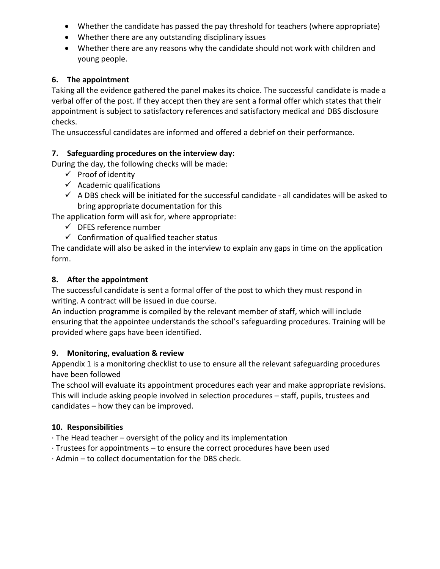- Whether the candidate has passed the pay threshold for teachers (where appropriate)
- Whether there are any outstanding disciplinary issues
- Whether there are any reasons why the candidate should not work with children and young people.

#### **6. The appointment**

Taking all the evidence gathered the panel makes its choice. The successful candidate is made a verbal offer of the post. If they accept then they are sent a formal offer which states that their appointment is subject to satisfactory references and satisfactory medical and DBS disclosure checks.

The unsuccessful candidates are informed and offered a debrief on their performance.

### **7. Safeguarding procedures on the interview day:**

During the day, the following checks will be made:

- $\checkmark$  Proof of identity
- $\checkmark$  Academic qualifications
- $\checkmark$  A DBS check will be initiated for the successful candidate all candidates will be asked to bring appropriate documentation for this

The application form will ask for, where appropriate:

- $\checkmark$  DFES reference number
- $\checkmark$  Confirmation of qualified teacher status

The candidate will also be asked in the interview to explain any gaps in time on the application form.

#### **8. After the appointment**

The successful candidate is sent a formal offer of the post to which they must respond in writing. A contract will be issued in due course.

An induction programme is compiled by the relevant member of staff, which will include ensuring that the appointee understands the school's safeguarding procedures. Training will be provided where gaps have been identified.

#### **9. Monitoring, evaluation & review**

Appendix 1 is a monitoring checklist to use to ensure all the relevant safeguarding procedures have been followed

The school will evaluate its appointment procedures each year and make appropriate revisions. This will include asking people involved in selection procedures – staff, pupils, trustees and candidates – how they can be improved.

### **10. Responsibilities**

- $\cdot$  The Head teacher oversight of the policy and its implementation
- · Trustees for appointments to ensure the correct procedures have been used
- · Admin to collect documentation for the DBS check.